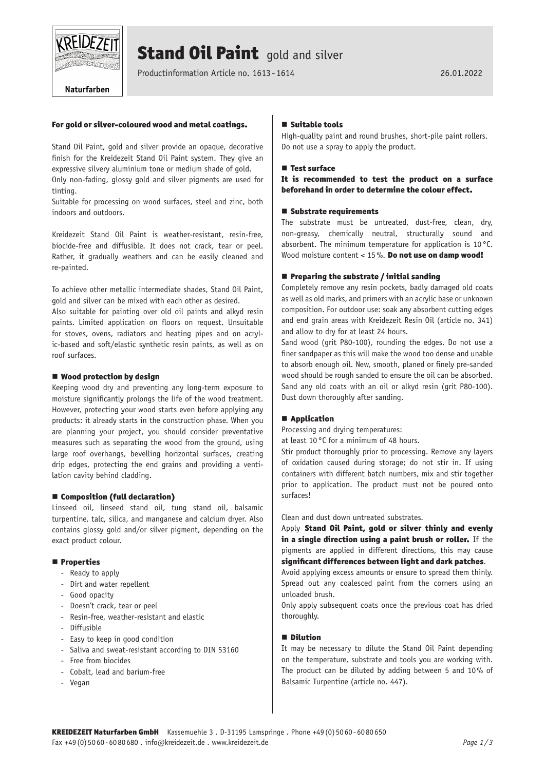

# **Stand Oil Paint** gold and silver

Productinformation Article no. 1613 -1614 26.01.2022

# For gold or silver-coloured wood and metal coatings.

Stand Oil Paint, gold and silver provide an opaque, decorative finish for the Kreidezeit Stand Oil Paint system. They give an expressive silvery aluminium tone or medium shade of gold.

Only non-fading, glossy gold and silver pigments are used for tinting.

Suitable for processing on wood surfaces, steel and zinc, both indoors and outdoors.

Kreidezeit Stand Oil Paint is weather-resistant, resin-free, biocide-free and diffusible. It does not crack, tear or peel. Rather, it gradually weathers and can be easily cleaned and re-painted.

To achieve other metallic intermediate shades, Stand Oil Paint, gold and silver can be mixed with each other as desired.

Also suitable for painting over old oil paints and alkyd resin paints. Limited application on floors on request. Unsuitable for stoves, ovens, radiators and heating pipes and on acrylic-based and soft/elastic synthetic resin paints, as well as on roof surfaces.

#### ■ Wood protection by design

Keeping wood dry and preventing any long-term exposure to moisture significantly prolongs the life of the wood treatment. However, protecting your wood starts even before applying any products: it already starts in the construction phase. When you are planning your project, you should consider preventative measures such as separating the wood from the ground, using large roof overhangs, bevelling horizontal surfaces, creating drip edges, protecting the end grains and providing a ventilation cavity behind cladding.

# ■ Composition (full declaration)

Linseed oil, linseed stand oil, tung stand oil, balsamic turpentine, talc, silica, and manganese and calcium dryer. Also contains glossy gold and/or silver pigment, depending on the exact product colour.

#### **Properties**

- Ready to apply
- Dirt and water repellent
- Good opacity
- Doesn't crack, tear or peel
- Resin-free, weather-resistant and elastic
- Diffusible
- Easy to keep in good condition
- Saliva and sweat-resistant according to DIN 53160
- Free from biocides
- Cobalt, lead and barium-free
- Vegan

# $\blacksquare$  Suitable tools

High-quality paint and round brushes, short-pile paint rollers. Do not use a spray to apply the product.

#### **E** Test surface

# It is recommended to test the product on a surface beforehand in order to determine the colour effect.

#### ■ Substrate requirements

The substrate must be untreated, dust-free, clean, dry, non-greasy, chemically neutral, structurally sound and absorbent. The minimum temperature for application is 10°C. Wood moisture content < 15%. Do not use on damp wood!

#### $\blacksquare$  Preparing the substrate / initial sanding

Completely remove any resin pockets, badly damaged old coats as well as old marks, and primers with an acrylic base or unknown composition. For outdoor use: soak any absorbent cutting edges and end grain areas with Kreidezeit Resin Oil (article no. 341) and allow to dry for at least 24 hours.

Sand wood (grit P80-100), rounding the edges. Do not use a finer sandpaper as this will make the wood too dense and unable to absorb enough oil. New, smooth, planed or finely pre-sanded wood should be rough sanded to ensure the oil can be absorbed. Sand any old coats with an oil or alkyd resin (grit P80-100). Dust down thoroughly after sanding.

# ■ Application

Processing and drying temperatures:

at least 10°C for a minimum of 48 hours.

Stir product thoroughly prior to processing. Remove any layers of oxidation caused during storage; do not stir in. If using containers with different batch numbers, mix and stir together prior to application. The product must not be poured onto surfaces!

Clean and dust down untreated substrates.

Apply Stand Oil Paint, gold or silver thinly and evenly in a single direction using a paint brush or roller. If the pigments are applied in different directions, this may cause significant differences between light and dark patches.

Avoid applying excess amounts or ensure to spread them thinly. Spread out any coalesced paint from the corners using an unloaded brush.

Only apply subsequent coats once the previous coat has dried thoroughly.

#### **Dilution**

It may be necessary to dilute the Stand Oil Paint depending on the temperature, substrate and tools you are working with. The product can be diluted by adding between 5 and 10% of Balsamic Turpentine (article no. 447).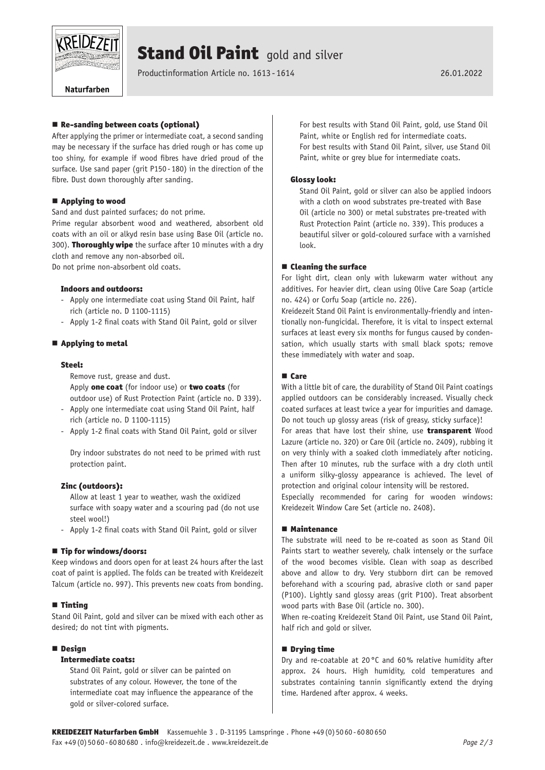

# **Stand Oil Paint** gold and silver

Productinformation Article no. 1613 -1614 26.01.2022

Naturfarben

# ■ Re-sanding between coats (optional)

After applying the primer or intermediate coat, a second sanding may be necessary if the surface has dried rough or has come up too shiny, for example if wood fibres have dried proud of the surface. Use sand paper (grit P150- 180) in the direction of the fibre. Dust down thoroughly after sanding.

# ■ Applying to wood

Sand and dust painted surfaces; do not prime.

Prime regular absorbent wood and weathered, absorbent old coats with an oil or alkyd resin base using Base Oil (article no. 300). Thoroughly wipe the surface after 10 minutes with a dry cloth and remove any non-absorbed oil. Do not prime non-absorbent old coats.

# Indoors and outdoors:

- Apply one intermediate coat using Stand Oil Paint, half rich (article no. D 1100-1115)
- Apply 1-2 final coats with Stand Oil Paint, gold or silver

# ■ Applying to metal

# Steel:

Remove rust, grease and dust. Apply one coat (for indoor use) or two coats (for outdoor use) of Rust Protection Paint (article no. D 339).

- Apply one intermediate coat using Stand Oil Paint, half rich (article no. D 1100-1115)
- Apply 1-2 final coats with Stand Oil Paint, gold or silver

Dry indoor substrates do not need to be primed with rust protection paint.

# Zinc (outdoors):

Allow at least 1 year to weather, wash the oxidized surface with soapy water and a scouring pad (do not use steel wool!)

Apply 1-2 final coats with Stand Oil Paint, gold or silver

# ■ Tip for windows/doors:

Keep windows and doors open for at least 24 hours after the last coat of paint is applied. The folds can be treated with Kreidezeit Talcum (article no. 997). This prevents new coats from bonding.

# $\blacksquare$  Tinting

Stand Oil Paint, gold and silver can be mixed with each other as desired; do not tint with pigments.

# **Design**

# Intermediate coats:

Stand Oil Paint, gold or silver can be painted on substrates of any colour. However, the tone of the intermediate coat may influence the appearance of the gold or silver-colored surface.

For best results with Stand Oil Paint, gold, use Stand Oil Paint, white or English red for intermediate coats. For best results with Stand Oil Paint, silver, use Stand Oil Paint, white or grey blue for intermediate coats.

# Glossy look:

Stand Oil Paint, gold or silver can also be applied indoors with a cloth on wood substrates pre-treated with Base Oil (article no 300) or metal substrates pre-treated with Rust Protection Paint (article no. 339). This produces a beautiful silver or gold-coloured surface with a varnished look.

# ■ Cleaning the surface

For light dirt, clean only with lukewarm water without any additives. For heavier dirt, clean using Olive Care Soap (article no. 424) or Corfu Soap (article no. 226).

Kreidezeit Stand Oil Paint is environmentally-friendly and intentionally non-fungicidal. Therefore, it is vital to inspect external surfaces at least every six months for fungus caused by condensation, which usually starts with small black spots; remove these immediately with water and soap.

# **■** Care

With a little bit of care, the durability of Stand Oil Paint coatings applied outdoors can be considerably increased. Visually check coated surfaces at least twice a year for impurities and damage. Do not touch up glossy areas (risk of greasy, sticky surface)!

For areas that have lost their shine, use **transparent** Wood Lazure (article no. 320) or Care Oil (article no. 2409), rubbing it on very thinly with a soaked cloth immediately after noticing. Then after 10 minutes, rub the surface with a dry cloth until a uniform silky-glossy appearance is achieved. The level of protection and original colour intensity will be restored.

Especially recommended for caring for wooden windows: Kreidezeit Window Care Set (article no. 2408).

# Maintenance

The substrate will need to be re-coated as soon as Stand Oil Paints start to weather severely, chalk intensely or the surface of the wood becomes visible. Clean with soap as described above and allow to dry. Very stubborn dirt can be removed beforehand with a scouring pad, abrasive cloth or sand paper (P100). Lightly sand glossy areas (grit P100). Treat absorbent wood parts with Base Oil (article no. 300).

When re-coating Kreidezeit Stand Oil Paint, use Stand Oil Paint, half rich and gold or silver.

# **Drying time**

Dry and re-coatable at 20 °C and 60% relative humidity after approx. 24 hours. High humidity, cold temperatures and substrates containing tannin significantly extend the drying time. Hardened after approx. 4 weeks.